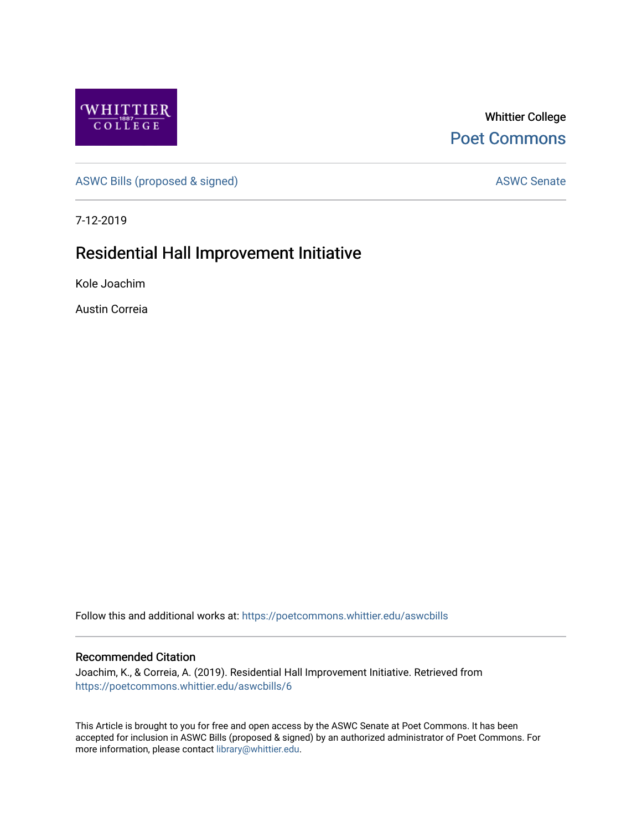

Whittier College [Poet Commons](https://poetcommons.whittier.edu/) 

[ASWC Bills \(proposed & signed\)](https://poetcommons.whittier.edu/aswcbills) ASWC Senate

7-12-2019

## Residential Hall Improvement Initiative

Kole Joachim

Austin Correia

Follow this and additional works at: [https://poetcommons.whittier.edu/aswcbills](https://poetcommons.whittier.edu/aswcbills?utm_source=poetcommons.whittier.edu%2Faswcbills%2F6&utm_medium=PDF&utm_campaign=PDFCoverPages) 

## Recommended Citation

Joachim, K., & Correia, A. (2019). Residential Hall Improvement Initiative. Retrieved from [https://poetcommons.whittier.edu/aswcbills/6](https://poetcommons.whittier.edu/aswcbills/6?utm_source=poetcommons.whittier.edu%2Faswcbills%2F6&utm_medium=PDF&utm_campaign=PDFCoverPages) 

This Article is brought to you for free and open access by the ASWC Senate at Poet Commons. It has been accepted for inclusion in ASWC Bills (proposed & signed) by an authorized administrator of Poet Commons. For more information, please contact [library@whittier.edu.](mailto:library@whittier.edu)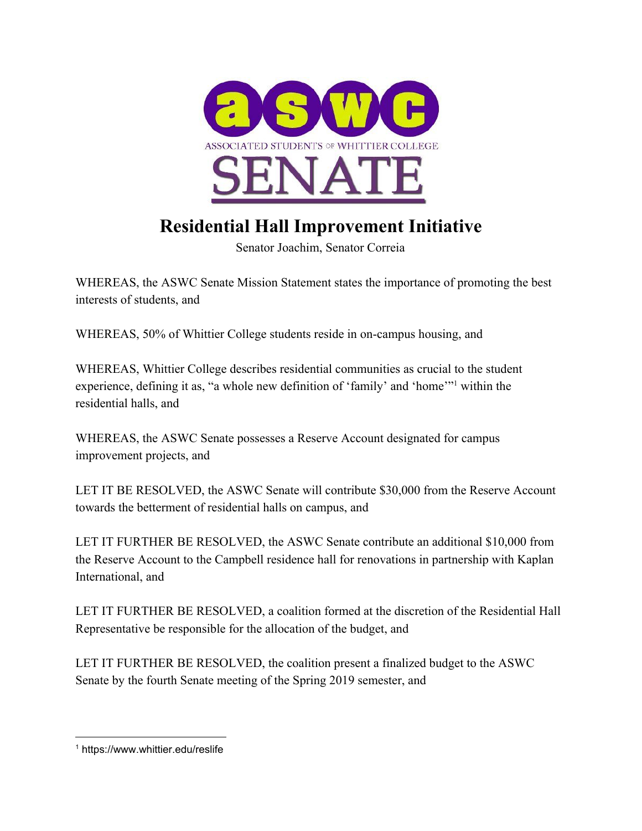

## **Residential Hall Improvement Initiative**

Senator Joachim, Senator Correia

WHEREAS, the ASWC Senate Mission Statement states the importance of promoting the best interests of students, and

WHEREAS, 50% of Whittier College students reside in on-campus housing, and

WHEREAS, Whittier College describes residential communities as crucial to the student experience, defining it as, "a whole new definition of 'family' and 'home'" within the residential halls, and

WHEREAS, the ASWC Senate possesses a Reserve Account designated for campus improvement projects, and

LET IT BE RESOLVED, the ASWC Senate will contribute \$30,000 from the Reserve Account towards the betterment of residential halls on campus, and

LET IT FURTHER BE RESOLVED, the ASWC Senate contribute an additional \$10,000 from the Reserve Account to the Campbell residence hall for renovations in partnership with Kaplan International, and

LET IT FURTHER BE RESOLVED, a coalition formed at the discretion of the Residential Hall Representative be responsible for the allocation of the budget, and

LET IT FURTHER BE RESOLVED, the coalition present a finalized budget to the ASWC Senate by the fourth Senate meeting of the Spring 2019 semester, and

<sup>1</sup> https://www.whittier.edu/reslife